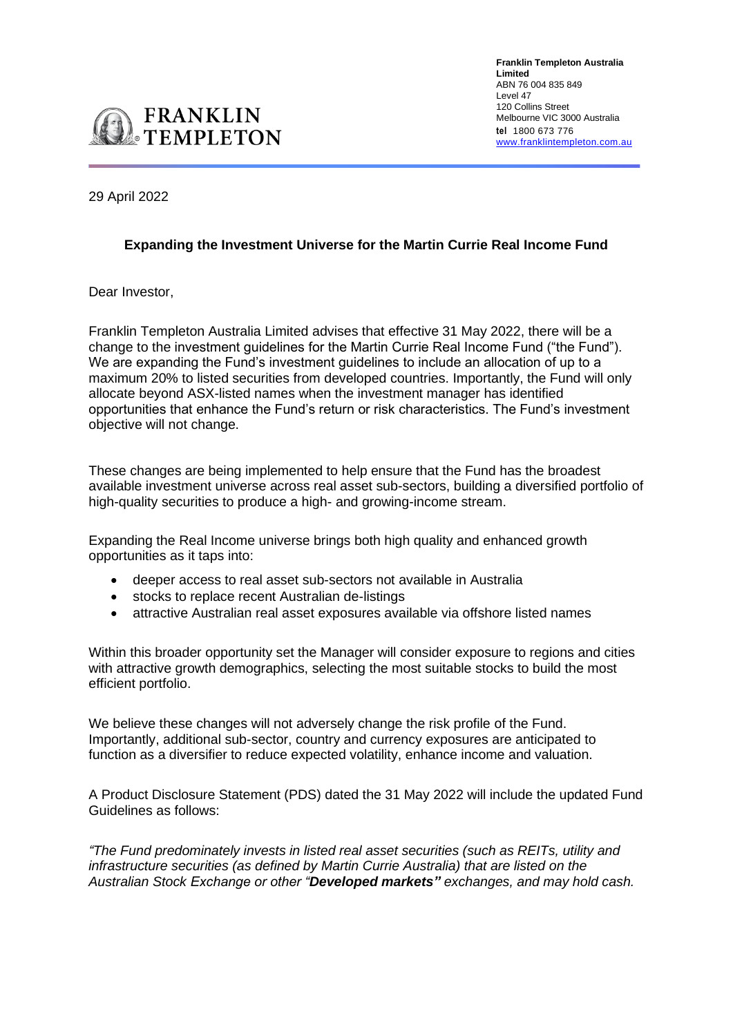

29 April 2022

## **Expanding the Investment Universe for the Martin Currie Real Income Fund**

Dear Investor,

Franklin Templeton Australia Limited advises that effective 31 May 2022, there will be a change to the investment guidelines for the Martin Currie Real Income Fund ("the Fund"). We are expanding the Fund's investment guidelines to include an allocation of up to a maximum 20% to listed securities from developed countries. Importantly, the Fund will only allocate beyond ASX-listed names when the investment manager has identified opportunities that enhance the Fund's return or risk characteristics. The Fund's investment objective will not change.

These changes are being implemented to help ensure that the Fund has the broadest available investment universe across real asset sub-sectors, building a diversified portfolio of high-quality securities to produce a high- and growing-income stream.

Expanding the Real Income universe brings both high quality and enhanced growth opportunities as it taps into:

- deeper access to real asset sub-sectors not available in Australia
- stocks to replace recent Australian de-listings
- attractive Australian real asset exposures available via offshore listed names

Within this broader opportunity set the Manager will consider exposure to regions and cities with attractive growth demographics, selecting the most suitable stocks to build the most efficient portfolio.

We believe these changes will not adversely change the risk profile of the Fund. Importantly, additional sub-sector, country and currency exposures are anticipated to function as a diversifier to reduce expected volatility, enhance income and valuation.

A Product Disclosure Statement (PDS) dated the 31 May 2022 will include the updated Fund Guidelines as follows:

*"The Fund predominately invests in listed real asset securities (such as REITs, utility and infrastructure securities (as defined by Martin Currie Australia) that are listed on the Australian Stock Exchange or other "Developed markets" exchanges, and may hold cash.*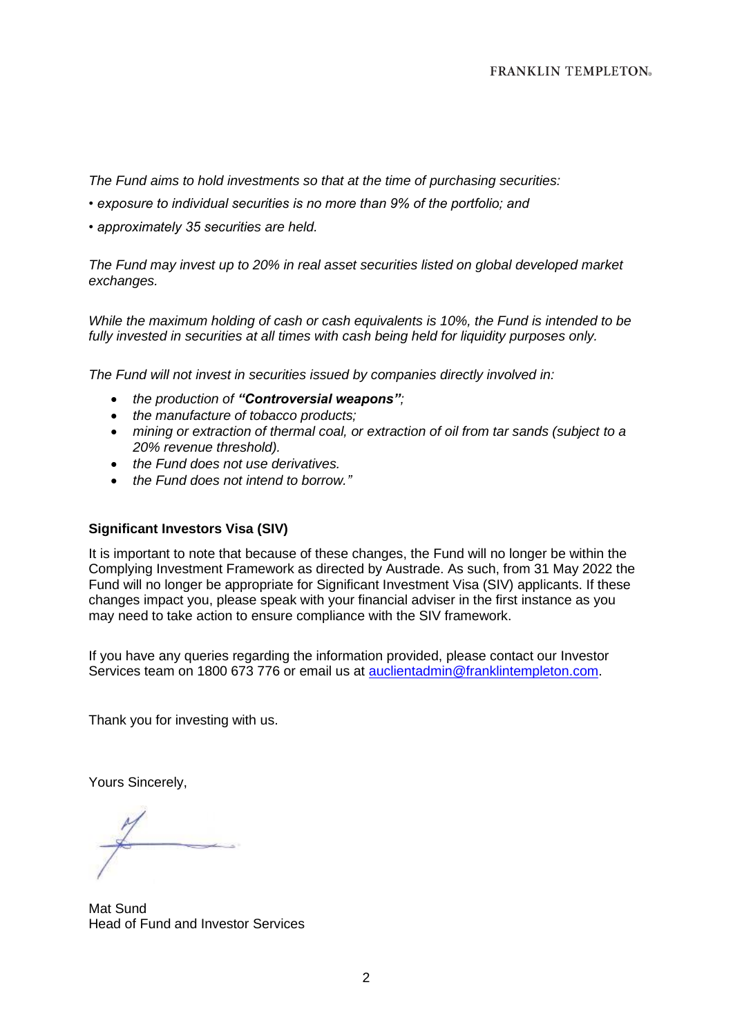*The Fund aims to hold investments so that at the time of purchasing securities:*

- *exposure to individual securities is no more than 9% of the portfolio; and*
- *approximately 35 securities are held.*

*The Fund may invest up to 20% in real asset securities listed on global developed market exchanges.*

*While the maximum holding of cash or cash equivalents is 10%, the Fund is intended to be fully invested in securities at all times with cash being held for liquidity purposes only.*

*The Fund will not invest in securities issued by companies directly involved in:*

- *the production of "Controversial weapons";*
- *the manufacture of tobacco products;*
- *mining or extraction of thermal coal, or extraction of oil from tar sands (subject to a 20% revenue threshold).*
- *the Fund does not use derivatives.*
- *the Fund does not intend to borrow."*

## **Significant Investors Visa (SIV)**

It is important to note that because of these changes, the Fund will no longer be within the Complying Investment Framework as directed by Austrade. As such, from 31 May 2022 the Fund will no longer be appropriate for Significant Investment Visa (SIV) applicants. If these changes impact you, please speak with your financial adviser in the first instance as you may need to take action to ensure compliance with the SIV framework.

If you have any queries regarding the information provided, please contact our Investor Services team on 1800 673 776 or email us at [auclientadmin@franklintempleton.com.](mailto:auclientadmin@franklintempleton.com)

Thank you for investing with us.

Yours Sincerely,

Mat Sund Head of Fund and Investor Services